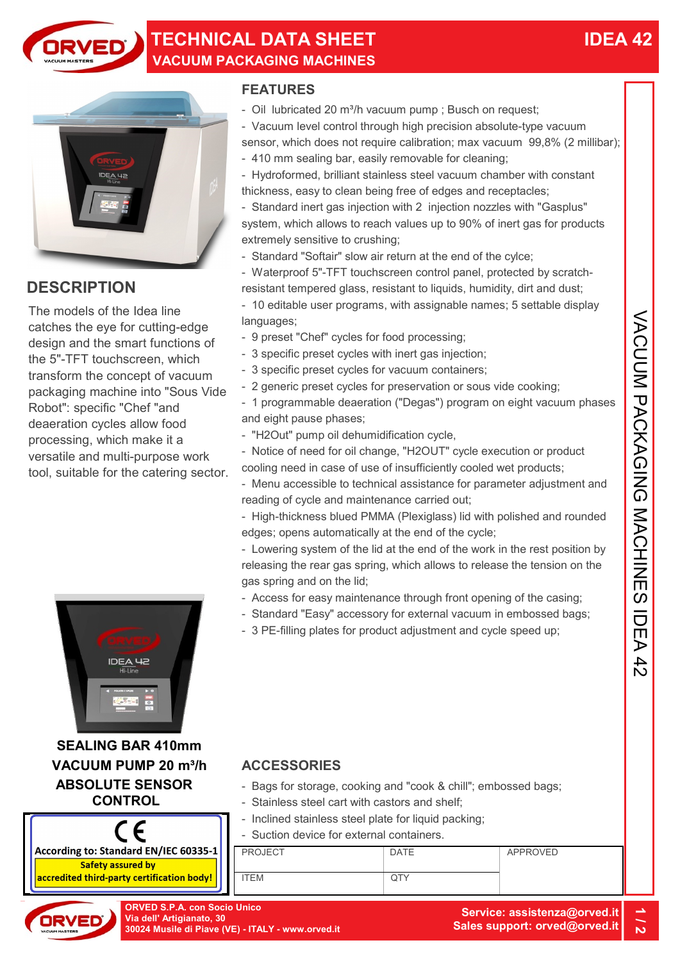

### TECHNICAL DATA SHEET VACUUM PACKAGING MACHINES



### **DESCRIPTION**

The models of the Idea line catches the eye for cutting-edge design and the smart functions of the 5"-TFT touchscreen, which transform the concept of vacuum packaging machine into "Sous Vide Robot": specific "Chef "and deaeration cycles allow food processing, which make it a versatile and multi-purpose work tool, suitable for the catering sector. models of the Islam in The dialing user programs, with assignable names; 5 seltable display<br>
thes the eye for cutting-edge in  $\frac{1}{2}$  are the Condensing concessing;<br>
and the smart functions of  $\frac{1}{2}$  agentific pread



SEALING BAR 410mm ABSOLUTE SENSOR **CONTROL** 



### FEATURES

- Oil lubricated 20 m<sup>3</sup>/h vacuum pump ; Busch on request;
- Vacuum level control through high precision absolute-type vacuum sensor, which does not require calibration; max vacuum 99,8% (2 millibar);
- 410 mm sealing bar, easily removable for cleaning;
- Hydroformed, brilliant stainless steel vacuum chamber with constant thickness, easy to clean being free of edges and receptacles;
- Standard inert gas injection with 2 injection nozzles with "Gasplus" system, which allows to reach values up to 90% of inert gas for products extremely sensitive to crushing;
- Standard "Softair" slow air return at the end of the cylce;
- Waterproof 5"-TFT touchscreen control panel, protected by scratchresistant tempered glass, resistant to liquids, humidity, dirt and dust;
- 10 editable user programs, with assignable names; 5 settable display languages;
- 9 preset "Chef" cycles for food processing;
- 3 specific preset cycles with inert gas injection;
- 3 specific preset cycles for vacuum containers;
- 2 generic preset cycles for preservation or sous vide cooking;
- 1 programmable deaeration ("Degas") program on eight vacuum phases and eight pause phases;
- "H2Out" pump oil dehumidification cycle,
- Notice of need for oil change, "H2OUT" cycle execution or product cooling need in case of use of insufficiently cooled wet products;
- Menu accessible to technical assistance for parameter adjustment and reading of cycle and maintenance carried out;
- High-thickness blued PMMA (Plexiglass) lid with polished and rounded edges; opens automatically at the end of the cycle;
- Lowering system of the lid at the end of the work in the rest position by releasing the rear gas spring, which allows to release the tension on the gas spring and on the lid;
- Access for easy maintenance through front opening of the casing;
- Standard "Easy" accessory for external vacuum in embossed bags;
- 3 PE-filling plates for product adjustment and cycle speed up;

- Bags for storage, cooking and "cook & chill"; embossed bags;
- Stainless steel cart with castors and shelf;
- Inclined stainless steel plate for liquid packing;
- Suction device for external containers.



ORVED S.P.A. con Socio Unico 1 / 2012<br>Via dell' Artigianato, 30<br>30024 Musile di Piave (VE) - ITALY - www.orved.it Sales support: orved@orved.it